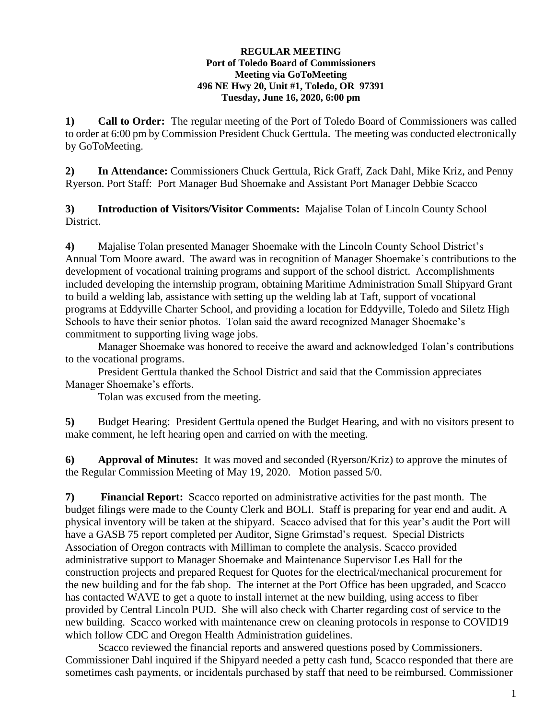## **REGULAR MEETING Port of Toledo Board of Commissioners Meeting via GoToMeeting 496 NE Hwy 20, Unit #1, Toledo, OR 97391 Tuesday, June 16, 2020, 6:00 pm**

**1) Call to Order:** The regular meeting of the Port of Toledo Board of Commissioners was called to order at 6:00 pm by Commission President Chuck Gerttula. The meeting was conducted electronically by GoToMeeting.

**2) In Attendance:** Commissioners Chuck Gerttula, Rick Graff, Zack Dahl, Mike Kriz, and Penny Ryerson. Port Staff: Port Manager Bud Shoemake and Assistant Port Manager Debbie Scacco

**3) Introduction of Visitors/Visitor Comments:** Majalise Tolan of Lincoln County School District.

**4)** Majalise Tolan presented Manager Shoemake with the Lincoln County School District's Annual Tom Moore award. The award was in recognition of Manager Shoemake's contributions to the development of vocational training programs and support of the school district. Accomplishments included developing the internship program, obtaining Maritime Administration Small Shipyard Grant to build a welding lab, assistance with setting up the welding lab at Taft, support of vocational programs at Eddyville Charter School, and providing a location for Eddyville, Toledo and Siletz High Schools to have their senior photos. Tolan said the award recognized Manager Shoemake's commitment to supporting living wage jobs.

Manager Shoemake was honored to receive the award and acknowledged Tolan's contributions to the vocational programs.

President Gerttula thanked the School District and said that the Commission appreciates Manager Shoemake's efforts.

Tolan was excused from the meeting.

**5)** Budget Hearing: President Gerttula opened the Budget Hearing, and with no visitors present to make comment, he left hearing open and carried on with the meeting.

**6) Approval of Minutes:** It was moved and seconded (Ryerson/Kriz) to approve the minutes of the Regular Commission Meeting of May 19, 2020. Motion passed 5/0.

**7) Financial Report:** Scacco reported on administrative activities for the past month. The budget filings were made to the County Clerk and BOLI. Staff is preparing for year end and audit. A physical inventory will be taken at the shipyard. Scacco advised that for this year's audit the Port will have a GASB 75 report completed per Auditor, Signe Grimstad's request. Special Districts Association of Oregon contracts with Milliman to complete the analysis. Scacco provided administrative support to Manager Shoemake and Maintenance Supervisor Les Hall for the construction projects and prepared Request for Quotes for the electrical/mechanical procurement for the new building and for the fab shop. The internet at the Port Office has been upgraded, and Scacco has contacted WAVE to get a quote to install internet at the new building, using access to fiber provided by Central Lincoln PUD. She will also check with Charter regarding cost of service to the new building. Scacco worked with maintenance crew on cleaning protocols in response to COVID19 which follow CDC and Oregon Health Administration guidelines.

Scacco reviewed the financial reports and answered questions posed by Commissioners. Commissioner Dahl inquired if the Shipyard needed a petty cash fund, Scacco responded that there are sometimes cash payments, or incidentals purchased by staff that need to be reimbursed. Commissioner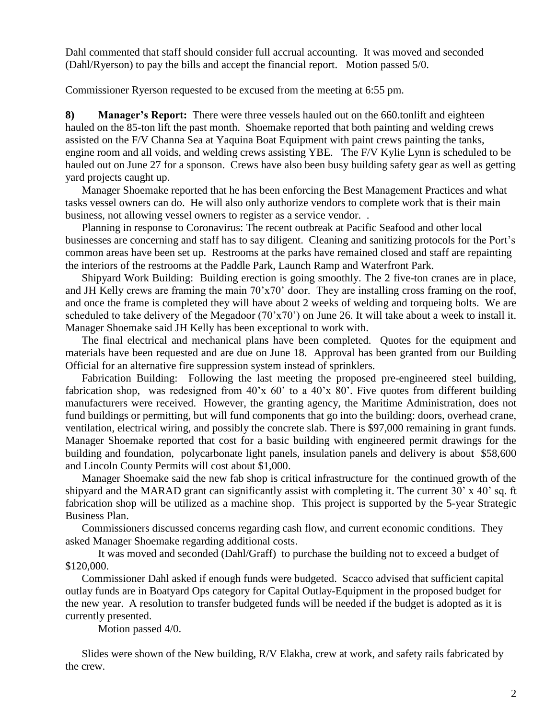Dahl commented that staff should consider full accrual accounting. It was moved and seconded (Dahl/Ryerson) to pay the bills and accept the financial report. Motion passed 5/0.

Commissioner Ryerson requested to be excused from the meeting at 6:55 pm.

**8) Manager's Report:** There were three vessels hauled out on the 660.tonlift and eighteen hauled on the 85-ton lift the past month. Shoemake reported that both painting and welding crews assisted on the F/V Channa Sea at Yaquina Boat Equipment with paint crews painting the tanks, engine room and all voids, and welding crews assisting YBE. The F/V Kylie Lynn is scheduled to be hauled out on June 27 for a sponson. Crews have also been busy building safety gear as well as getting yard projects caught up.

Manager Shoemake reported that he has been enforcing the Best Management Practices and what tasks vessel owners can do. He will also only authorize vendors to complete work that is their main business, not allowing vessel owners to register as a service vendor. .

Planning in response to Coronavirus: The recent outbreak at Pacific Seafood and other local businesses are concerning and staff has to say diligent. Cleaning and sanitizing protocols for the Port's common areas have been set up. Restrooms at the parks have remained closed and staff are repainting the interiors of the restrooms at the Paddle Park, Launch Ramp and Waterfront Park.

Shipyard Work Building:Building erection is going smoothly. The 2 five-ton cranes are in place, and JH Kelly crews are framing the main 70'x70' door. They are installing cross framing on the roof, and once the frame is completed they will have about 2 weeks of welding and torqueing bolts. We are scheduled to take delivery of the Megadoor (70'x70') on June 26. It will take about a week to install it. Manager Shoemake said JH Kelly has been exceptional to work with.

The final electrical and mechanical plans have been completed. Quotes for the equipment and materials have been requested and are due on June 18. Approval has been granted from our Building Official for an alternative fire suppression system instead of sprinklers.

Fabrication Building:Following the last meeting the proposed pre-engineered steel building, fabrication shop, was redesigned from 40'x 60' to a 40'x 80'. Five quotes from different building manufacturers were received. However, the granting agency, the Maritime Administration, does not fund buildings or permitting, but will fund components that go into the building: doors, overhead crane, ventilation, electrical wiring, and possibly the concrete slab. There is \$97,000 remaining in grant funds. Manager Shoemake reported that cost for a basic building with engineered permit drawings for the building and foundation, polycarbonate light panels, insulation panels and delivery is about \$58,600 and Lincoln County Permits will cost about \$1,000.

Manager Shoemake said the new fab shop is critical infrastructure for the continued growth of the shipyard and the MARAD grant can significantly assist with completing it. The current 30' x 40' sq. ft fabrication shop will be utilized as a machine shop. This project is supported by the 5-year Strategic Business Plan.

Commissioners discussed concerns regarding cash flow, and current economic conditions. They asked Manager Shoemake regarding additional costs.

It was moved and seconded (Dahl/Graff) to purchase the building not to exceed a budget of \$120,000.

Commissioner Dahl asked if enough funds were budgeted. Scacco advised that sufficient capital outlay funds are in Boatyard Ops category for Capital Outlay-Equipment in the proposed budget for the new year. A resolution to transfer budgeted funds will be needed if the budget is adopted as it is currently presented.

Motion passed 4/0.

Slides were shown of the New building, R/V Elakha, crew at work, and safety rails fabricated by the crew.